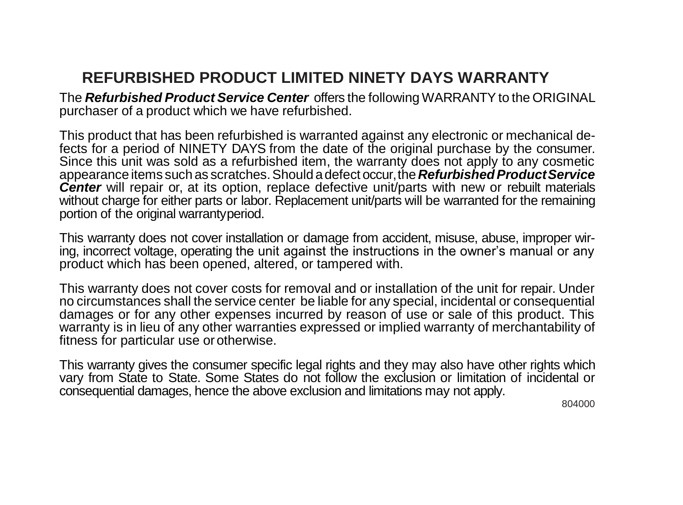## **REFURBISHED PRODUCT LIMITED NINETY DAYS WARRANTY**

The *Refurbished Product Service Center* offers the following WARRANTYto the ORIGINAL purchaser of a product which we have refurbished.

This product that has been refurbished is warranted against any electronic or mechanical defects for a period of NINETY DAYS from the date of the original purchase by the consumer. Since this unit was sold as a refurbished item, the warranty does not apply to any cosmetic appearance items such as scratches. Should a defect occur, the **Refurbished Product Service Center** will repair or, at its option, replace defective unit/parts with new or rebuilt materials without charge for either parts or labor. Replacement unit/parts will be warranted for the remaining portion of the original warrantyperiod.

This warranty does not cover installation or damage from accident, misuse, abuse, improper wiring, incorrect voltage, operating the unit against the instructions in the owner's manual or any product which has been opened, altered, or tampered with.

This warranty does not cover costs for removal and or installation of the unit for repair. Under no circumstances shall the service center be liable for any special, incidental or consequential damages or for any other expenses incurred by reason of use or sale of this product. This warranty is in lieu of any other warranties expressed or implied warranty of merchantability of fitness for particular use or otherwise.

This warranty gives the consumer specific legal rights and they may also have other rights which vary from State to State. Some States do not follow the exclusion or limitation of incidental or consequential damages, hence the above exclusion and limitations may not apply.

804000